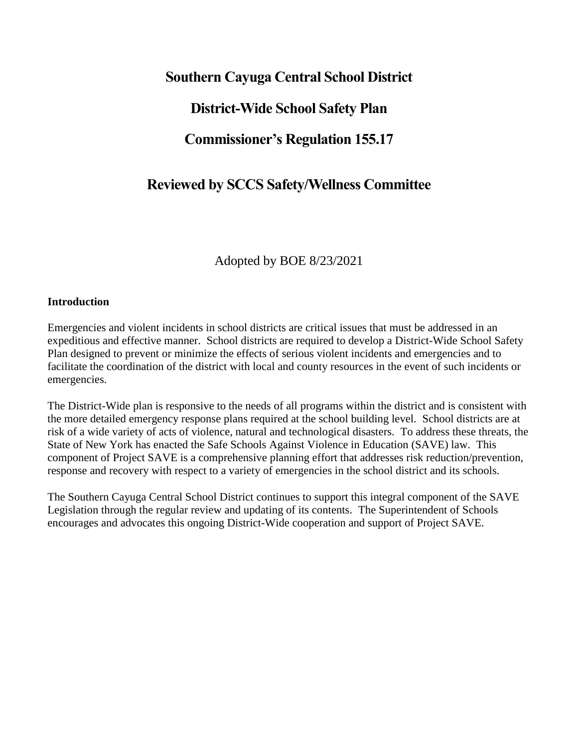# **Southern Cayuga Central School District District-Wide School Safety Plan Commissioner's Regulation 155.17**

# **Reviewed by SCCS Safety/Wellness Committee**

Adopted by BOE 8/23/2021

## **Introduction**

Emergencies and violent incidents in school districts are critical issues that must be addressed in an expeditious and effective manner. School districts are required to develop a District-Wide School Safety Plan designed to prevent or minimize the effects of serious violent incidents and emergencies and to facilitate the coordination of the district with local and county resources in the event of such incidents or emergencies.

The District-Wide plan is responsive to the needs of all programs within the district and is consistent with the more detailed emergency response plans required at the school building level. School districts are at risk of a wide variety of acts of violence, natural and technological disasters. To address these threats, the State of New York has enacted the Safe Schools Against Violence in Education (SAVE) law. This component of Project SAVE is a comprehensive planning effort that addresses risk reduction/prevention, response and recovery with respect to a variety of emergencies in the school district and its schools.

The Southern Cayuga Central School District continues to support this integral component of the SAVE Legislation through the regular review and updating of its contents. The Superintendent of Schools encourages and advocates this ongoing District-Wide cooperation and support of Project SAVE.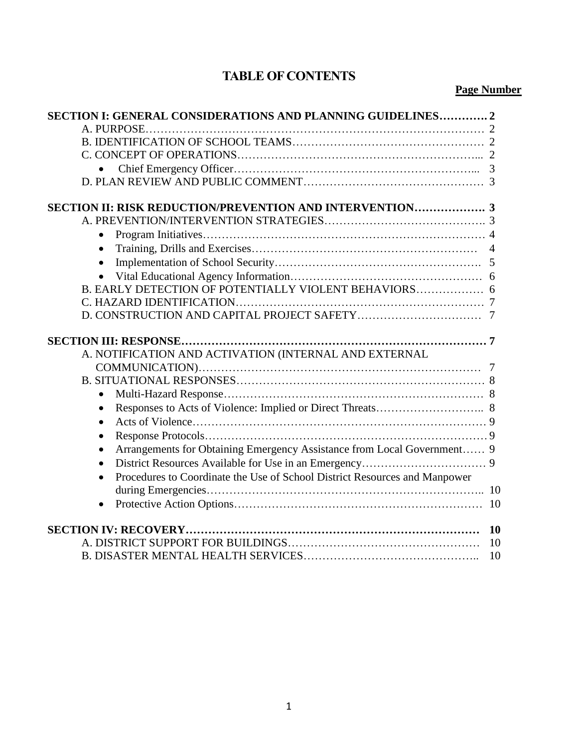# **TABLE OF CONTENTS**

## **Page Number**

| SECTION I: GENERAL CONSIDERATIONS AND PLANNING GUIDELINES2                              |  |  |  |
|-----------------------------------------------------------------------------------------|--|--|--|
|                                                                                         |  |  |  |
|                                                                                         |  |  |  |
|                                                                                         |  |  |  |
|                                                                                         |  |  |  |
|                                                                                         |  |  |  |
|                                                                                         |  |  |  |
| <b>SECTION II: RISK REDUCTION/PREVENTION AND INTERVENTION 3</b>                         |  |  |  |
|                                                                                         |  |  |  |
|                                                                                         |  |  |  |
|                                                                                         |  |  |  |
| $\bullet$                                                                               |  |  |  |
|                                                                                         |  |  |  |
| B. EARLY DETECTION OF POTENTIALLY VIOLENT BEHAVIORS 6                                   |  |  |  |
|                                                                                         |  |  |  |
|                                                                                         |  |  |  |
|                                                                                         |  |  |  |
|                                                                                         |  |  |  |
| A. NOTIFICATION AND ACTIVATION (INTERNAL AND EXTERNAL                                   |  |  |  |
|                                                                                         |  |  |  |
|                                                                                         |  |  |  |
|                                                                                         |  |  |  |
| $\bullet$                                                                               |  |  |  |
| $\bullet$                                                                               |  |  |  |
| $\bullet$                                                                               |  |  |  |
| Arrangements for Obtaining Emergency Assistance from Local Government 9<br>$\bullet$    |  |  |  |
| $\bullet$                                                                               |  |  |  |
| Procedures to Coordinate the Use of School District Resources and Manpower<br>$\bullet$ |  |  |  |
|                                                                                         |  |  |  |
|                                                                                         |  |  |  |
|                                                                                         |  |  |  |
| 10                                                                                      |  |  |  |
| 10                                                                                      |  |  |  |
| 10                                                                                      |  |  |  |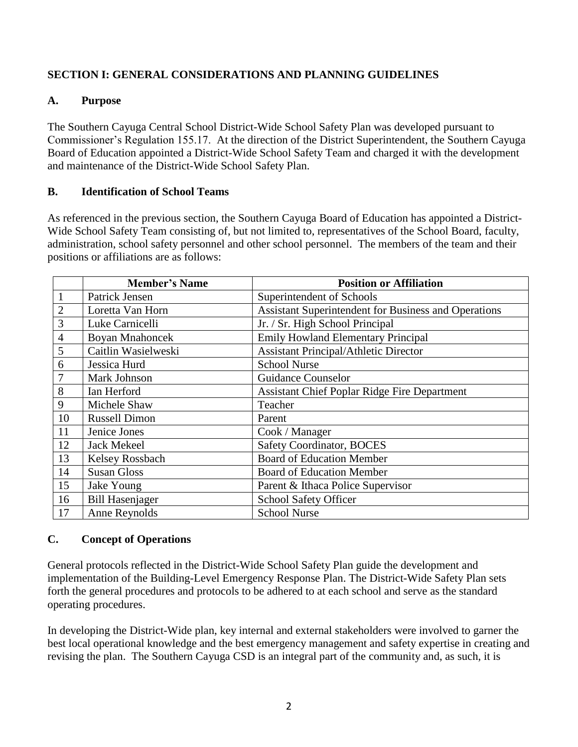## **SECTION I: GENERAL CONSIDERATIONS AND PLANNING GUIDELINES**

## **A. Purpose**

The Southern Cayuga Central School District-Wide School Safety Plan was developed pursuant to Commissioner's Regulation 155.17. At the direction of the District Superintendent, the Southern Cayuga Board of Education appointed a District-Wide School Safety Team and charged it with the development and maintenance of the District-Wide School Safety Plan.

## **B. Identification of School Teams**

As referenced in the previous section, the Southern Cayuga Board of Education has appointed a District-Wide School Safety Team consisting of, but not limited to, representatives of the School Board, faculty, administration, school safety personnel and other school personnel. The members of the team and their positions or affiliations are as follows:

|                | <b>Member's Name</b>   | <b>Position or Affiliation</b>                              |
|----------------|------------------------|-------------------------------------------------------------|
| $\mathbf{1}$   | Patrick Jensen         | Superintendent of Schools                                   |
| $\overline{2}$ | Loretta Van Horn       | <b>Assistant Superintendent for Business and Operations</b> |
| 3              | Luke Carnicelli        | Jr. / Sr. High School Principal                             |
| $\overline{4}$ | <b>Boyan Mnahoncek</b> | <b>Emily Howland Elementary Principal</b>                   |
| 5              | Caitlin Wasielweski    | <b>Assistant Principal/Athletic Director</b>                |
| 6              | Jessica Hurd           | <b>School Nurse</b>                                         |
|                | Mark Johnson           | <b>Guidance Counselor</b>                                   |
| 8              | Ian Herford            | <b>Assistant Chief Poplar Ridge Fire Department</b>         |
| 9              | Michele Shaw           | Teacher                                                     |
| 10             | <b>Russell Dimon</b>   | Parent                                                      |
| 11             | Jenice Jones           | Cook / Manager                                              |
| 12             | <b>Jack Mekeel</b>     | <b>Safety Coordinator, BOCES</b>                            |
| 13             | Kelsey Rossbach        | <b>Board of Education Member</b>                            |
| 14             | <b>Susan Gloss</b>     | <b>Board of Education Member</b>                            |
| 15             | Jake Young             | Parent & Ithaca Police Supervisor                           |
| 16             | <b>Bill Hasenjager</b> | School Safety Officer                                       |
| 17             | Anne Reynolds          | <b>School Nurse</b>                                         |

## **C. Concept of Operations**

General protocols reflected in the District-Wide School Safety Plan guide the development and implementation of the Building-Level Emergency Response Plan. The District-Wide Safety Plan sets forth the general procedures and protocols to be adhered to at each school and serve as the standard operating procedures.

In developing the District-Wide plan, key internal and external stakeholders were involved to garner the best local operational knowledge and the best emergency management and safety expertise in creating and revising the plan. The Southern Cayuga CSD is an integral part of the community and, as such, it is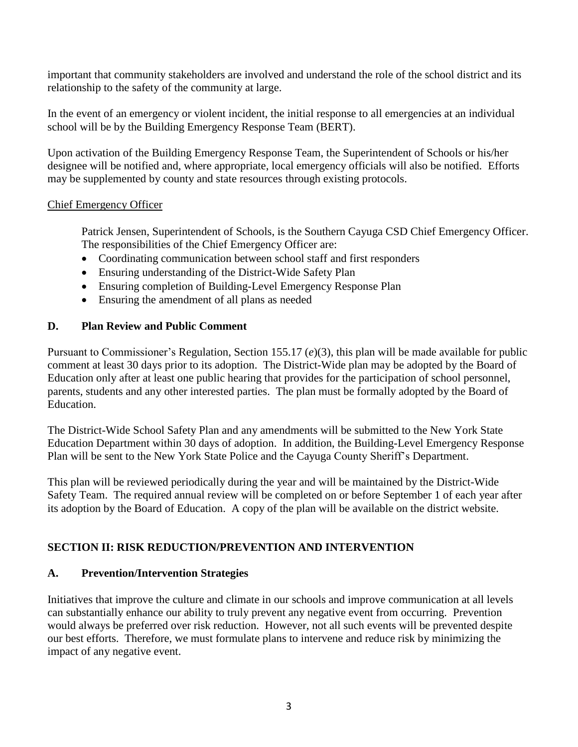important that community stakeholders are involved and understand the role of the school district and its relationship to the safety of the community at large.

In the event of an emergency or violent incident, the initial response to all emergencies at an individual school will be by the Building Emergency Response Team (BERT).

Upon activation of the Building Emergency Response Team, the Superintendent of Schools or his/her designee will be notified and, where appropriate, local emergency officials will also be notified. Efforts may be supplemented by county and state resources through existing protocols.

#### Chief Emergency Officer

Patrick Jensen, Superintendent of Schools, is the Southern Cayuga CSD Chief Emergency Officer. The responsibilities of the Chief Emergency Officer are:

- Coordinating communication between school staff and first responders
- Ensuring understanding of the District-Wide Safety Plan
- Ensuring completion of Building-Level Emergency Response Plan
- Ensuring the amendment of all plans as needed

## **D. Plan Review and Public Comment**

Pursuant to Commissioner's Regulation, Section 155.17 (*e*)(3), this plan will be made available for public comment at least 30 days prior to its adoption. The District-Wide plan may be adopted by the Board of Education only after at least one public hearing that provides for the participation of school personnel, parents, students and any other interested parties. The plan must be formally adopted by the Board of Education.

The District-Wide School Safety Plan and any amendments will be submitted to the New York State Education Department within 30 days of adoption. In addition, the Building-Level Emergency Response Plan will be sent to the New York State Police and the Cayuga County Sheriff's Department.

This plan will be reviewed periodically during the year and will be maintained by the District-Wide Safety Team. The required annual review will be completed on or before September 1 of each year after its adoption by the Board of Education. A copy of the plan will be available on the district website.

## **SECTION II: RISK REDUCTION/PREVENTION AND INTERVENTION**

## **A. Prevention/Intervention Strategies**

Initiatives that improve the culture and climate in our schools and improve communication at all levels can substantially enhance our ability to truly prevent any negative event from occurring. Prevention would always be preferred over risk reduction. However, not all such events will be prevented despite our best efforts. Therefore, we must formulate plans to intervene and reduce risk by minimizing the impact of any negative event.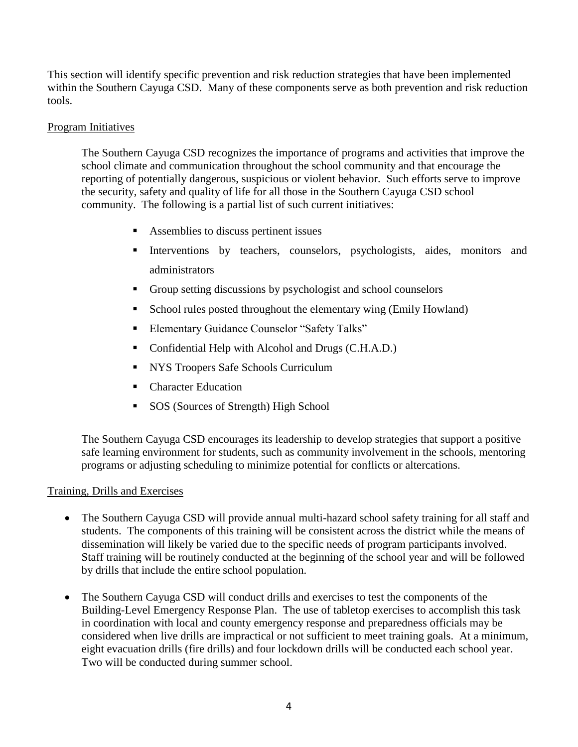This section will identify specific prevention and risk reduction strategies that have been implemented within the Southern Cayuga CSD. Many of these components serve as both prevention and risk reduction tools.

### Program Initiatives

The Southern Cayuga CSD recognizes the importance of programs and activities that improve the school climate and communication throughout the school community and that encourage the reporting of potentially dangerous, suspicious or violent behavior. Such efforts serve to improve the security, safety and quality of life for all those in the Southern Cayuga CSD school community. The following is a partial list of such current initiatives:

- Assemblies to discuss pertinent issues
- **Interventions** by teachers, counselors, psychologists, aides, monitors and administrators
- **Group setting discussions by psychologist and school counselors**
- School rules posted throughout the elementary wing (Emily Howland)
- Elementary Guidance Counselor "Safety Talks"
- Confidential Help with Alcohol and Drugs (C.H.A.D.)
- NYS Troopers Safe Schools Curriculum
- Character Education
- SOS (Sources of Strength) High School

The Southern Cayuga CSD encourages its leadership to develop strategies that support a positive safe learning environment for students, such as community involvement in the schools, mentoring programs or adjusting scheduling to minimize potential for conflicts or altercations.

#### Training, Drills and Exercises

- The Southern Cayuga CSD will provide annual multi-hazard school safety training for all staff and students. The components of this training will be consistent across the district while the means of dissemination will likely be varied due to the specific needs of program participants involved. Staff training will be routinely conducted at the beginning of the school year and will be followed by drills that include the entire school population.
- The Southern Cayuga CSD will conduct drills and exercises to test the components of the Building-Level Emergency Response Plan. The use of tabletop exercises to accomplish this task in coordination with local and county emergency response and preparedness officials may be considered when live drills are impractical or not sufficient to meet training goals. At a minimum, eight evacuation drills (fire drills) and four lockdown drills will be conducted each school year. Two will be conducted during summer school.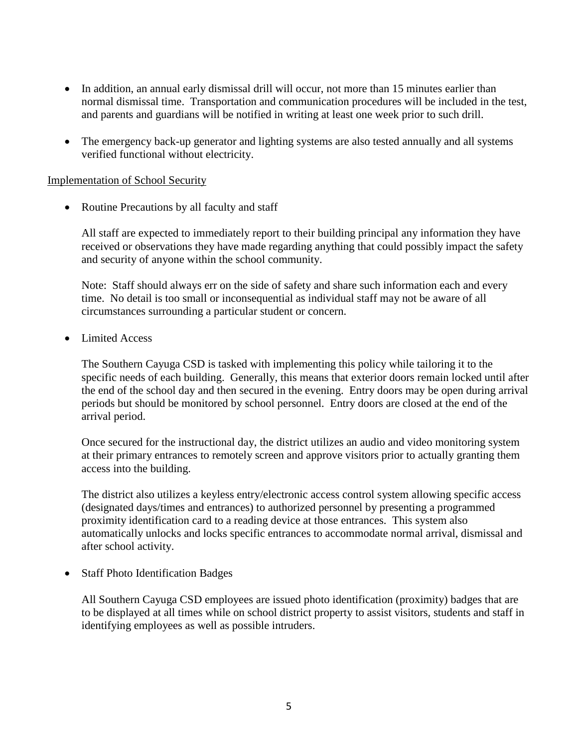- In addition, an annual early dismissal drill will occur, not more than 15 minutes earlier than normal dismissal time. Transportation and communication procedures will be included in the test, and parents and guardians will be notified in writing at least one week prior to such drill.
- The emergency back-up generator and lighting systems are also tested annually and all systems verified functional without electricity.

#### Implementation of School Security

• Routine Precautions by all faculty and staff

All staff are expected to immediately report to their building principal any information they have received or observations they have made regarding anything that could possibly impact the safety and security of anyone within the school community.

Note: Staff should always err on the side of safety and share such information each and every time. No detail is too small or inconsequential as individual staff may not be aware of all circumstances surrounding a particular student or concern.

• Limited Access

The Southern Cayuga CSD is tasked with implementing this policy while tailoring it to the specific needs of each building. Generally, this means that exterior doors remain locked until after the end of the school day and then secured in the evening. Entry doors may be open during arrival periods but should be monitored by school personnel. Entry doors are closed at the end of the arrival period.

Once secured for the instructional day, the district utilizes an audio and video monitoring system at their primary entrances to remotely screen and approve visitors prior to actually granting them access into the building.

The district also utilizes a keyless entry/electronic access control system allowing specific access (designated days/times and entrances) to authorized personnel by presenting a programmed proximity identification card to a reading device at those entrances. This system also automatically unlocks and locks specific entrances to accommodate normal arrival, dismissal and after school activity.

• Staff Photo Identification Badges

All Southern Cayuga CSD employees are issued photo identification (proximity) badges that are to be displayed at all times while on school district property to assist visitors, students and staff in identifying employees as well as possible intruders.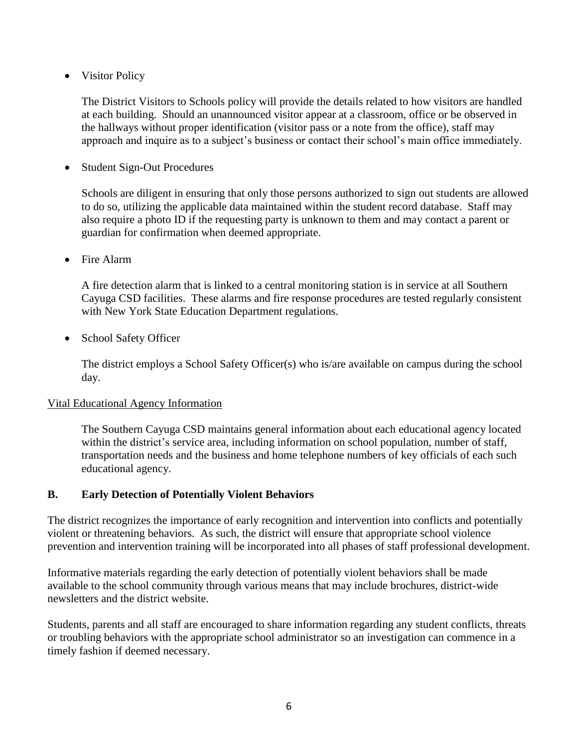• Visitor Policy

The District Visitors to Schools policy will provide the details related to how visitors are handled at each building. Should an unannounced visitor appear at a classroom, office or be observed in the hallways without proper identification (visitor pass or a note from the office), staff may approach and inquire as to a subject's business or contact their school's main office immediately.

• Student Sign-Out Procedures

Schools are diligent in ensuring that only those persons authorized to sign out students are allowed to do so, utilizing the applicable data maintained within the student record database. Staff may also require a photo ID if the requesting party is unknown to them and may contact a parent or guardian for confirmation when deemed appropriate.

• Fire Alarm

A fire detection alarm that is linked to a central monitoring station is in service at all Southern Cayuga CSD facilities. These alarms and fire response procedures are tested regularly consistent with New York State Education Department regulations.

• School Safety Officer

The district employs a School Safety Officer(s) who is/are available on campus during the school day.

#### Vital Educational Agency Information

The Southern Cayuga CSD maintains general information about each educational agency located within the district's service area, including information on school population, number of staff, transportation needs and the business and home telephone numbers of key officials of each such educational agency.

## **B. Early Detection of Potentially Violent Behaviors**

The district recognizes the importance of early recognition and intervention into conflicts and potentially violent or threatening behaviors. As such, the district will ensure that appropriate school violence prevention and intervention training will be incorporated into all phases of staff professional development.

Informative materials regarding the early detection of potentially violent behaviors shall be made available to the school community through various means that may include brochures, district-wide newsletters and the district website.

Students, parents and all staff are encouraged to share information regarding any student conflicts, threats or troubling behaviors with the appropriate school administrator so an investigation can commence in a timely fashion if deemed necessary.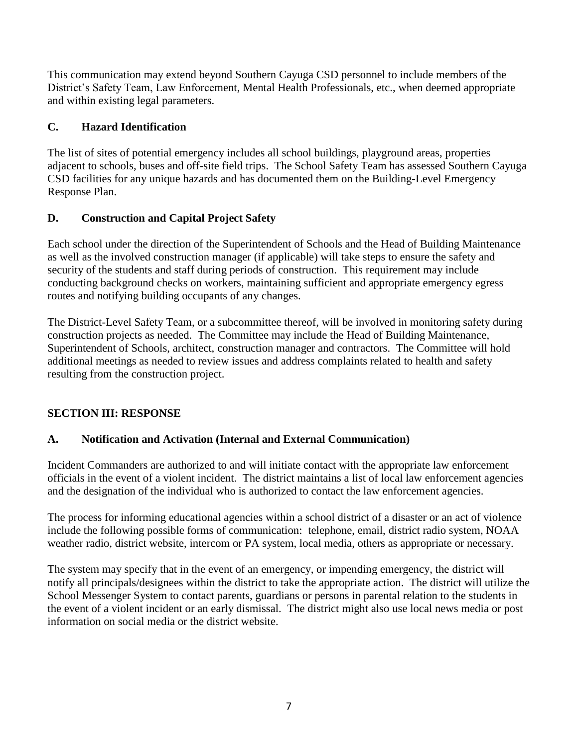This communication may extend beyond Southern Cayuga CSD personnel to include members of the District's Safety Team, Law Enforcement, Mental Health Professionals, etc., when deemed appropriate and within existing legal parameters.

## **C. Hazard Identification**

The list of sites of potential emergency includes all school buildings, playground areas, properties adjacent to schools, buses and off-site field trips. The School Safety Team has assessed Southern Cayuga CSD facilities for any unique hazards and has documented them on the Building-Level Emergency Response Plan.

## **D. Construction and Capital Project Safety**

Each school under the direction of the Superintendent of Schools and the Head of Building Maintenance as well as the involved construction manager (if applicable) will take steps to ensure the safety and security of the students and staff during periods of construction. This requirement may include conducting background checks on workers, maintaining sufficient and appropriate emergency egress routes and notifying building occupants of any changes.

The District-Level Safety Team, or a subcommittee thereof, will be involved in monitoring safety during construction projects as needed. The Committee may include the Head of Building Maintenance, Superintendent of Schools, architect, construction manager and contractors. The Committee will hold additional meetings as needed to review issues and address complaints related to health and safety resulting from the construction project.

## **SECTION III: RESPONSE**

## **A. Notification and Activation (Internal and External Communication)**

Incident Commanders are authorized to and will initiate contact with the appropriate law enforcement officials in the event of a violent incident. The district maintains a list of local law enforcement agencies and the designation of the individual who is authorized to contact the law enforcement agencies.

The process for informing educational agencies within a school district of a disaster or an act of violence include the following possible forms of communication: telephone, email, district radio system, NOAA weather radio, district website, intercom or PA system, local media, others as appropriate or necessary.

The system may specify that in the event of an emergency, or impending emergency, the district will notify all principals/designees within the district to take the appropriate action. The district will utilize the School Messenger System to contact parents, guardians or persons in parental relation to the students in the event of a violent incident or an early dismissal. The district might also use local news media or post information on social media or the district website.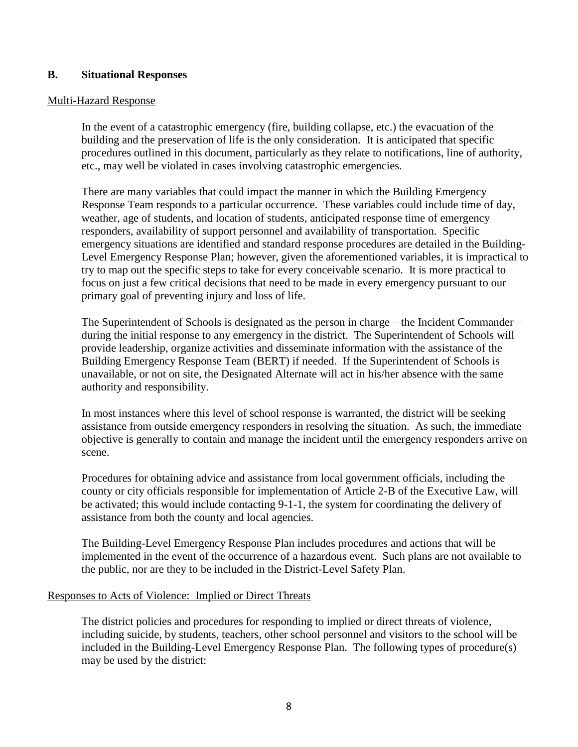#### **B. Situational Responses**

#### Multi-Hazard Response

In the event of a catastrophic emergency (fire, building collapse, etc.) the evacuation of the building and the preservation of life is the only consideration. It is anticipated that specific procedures outlined in this document, particularly as they relate to notifications, line of authority, etc., may well be violated in cases involving catastrophic emergencies.

There are many variables that could impact the manner in which the Building Emergency Response Team responds to a particular occurrence. These variables could include time of day, weather, age of students, and location of students, anticipated response time of emergency responders, availability of support personnel and availability of transportation. Specific emergency situations are identified and standard response procedures are detailed in the Building-Level Emergency Response Plan; however, given the aforementioned variables, it is impractical to try to map out the specific steps to take for every conceivable scenario. It is more practical to focus on just a few critical decisions that need to be made in every emergency pursuant to our primary goal of preventing injury and loss of life.

The Superintendent of Schools is designated as the person in charge – the Incident Commander – during the initial response to any emergency in the district. The Superintendent of Schools will provide leadership, organize activities and disseminate information with the assistance of the Building Emergency Response Team (BERT) if needed. If the Superintendent of Schools is unavailable, or not on site, the Designated Alternate will act in his/her absence with the same authority and responsibility.

In most instances where this level of school response is warranted, the district will be seeking assistance from outside emergency responders in resolving the situation. As such, the immediate objective is generally to contain and manage the incident until the emergency responders arrive on scene.

Procedures for obtaining advice and assistance from local government officials, including the county or city officials responsible for implementation of Article 2-B of the Executive Law, will be activated; this would include contacting 9-1-1, the system for coordinating the delivery of assistance from both the county and local agencies.

The Building-Level Emergency Response Plan includes procedures and actions that will be implemented in the event of the occurrence of a hazardous event. Such plans are not available to the public, nor are they to be included in the District-Level Safety Plan.

#### Responses to Acts of Violence: Implied or Direct Threats

The district policies and procedures for responding to implied or direct threats of violence, including suicide, by students, teachers, other school personnel and visitors to the school will be included in the Building-Level Emergency Response Plan. The following types of procedure(s) may be used by the district: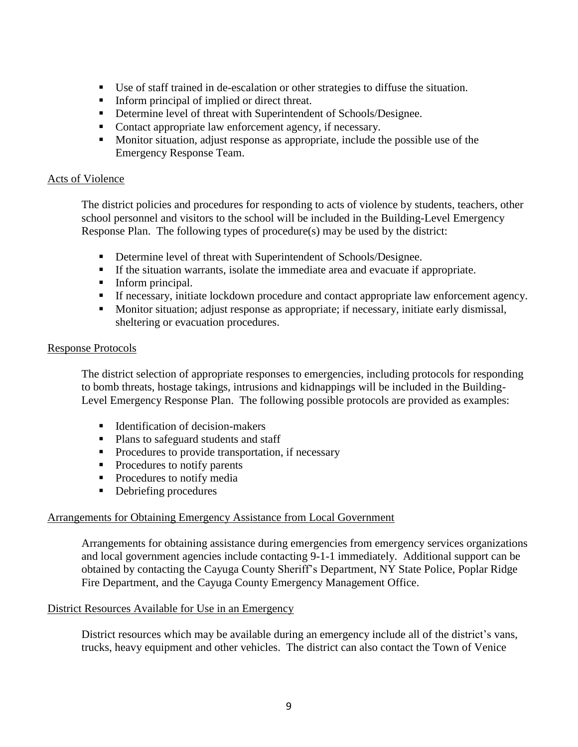- Use of staff trained in de-escalation or other strategies to diffuse the situation.
- Inform principal of implied or direct threat.
- Determine level of threat with Superintendent of Schools/Designee.
- Contact appropriate law enforcement agency, if necessary.
- Monitor situation, adjust response as appropriate, include the possible use of the Emergency Response Team.

#### Acts of Violence

The district policies and procedures for responding to acts of violence by students, teachers, other school personnel and visitors to the school will be included in the Building-Level Emergency Response Plan. The following types of procedure(s) may be used by the district:

- Determine level of threat with Superintendent of Schools/Designee.
- If the situation warrants, isolate the immediate area and evacuate if appropriate.
- Inform principal.
- **If necessary, initiate lockdown procedure and contact appropriate law enforcement agency.**
- Monitor situation; adjust response as appropriate; if necessary, initiate early dismissal, sheltering or evacuation procedures.

#### Response Protocols

The district selection of appropriate responses to emergencies, including protocols for responding to bomb threats, hostage takings, intrusions and kidnappings will be included in the Building-Level Emergency Response Plan. The following possible protocols are provided as examples:

- Identification of decision-makers
- Plans to safeguard students and staff
- Procedures to provide transportation, if necessary
- Procedures to notify parents
- Procedures to notify media
- Debriefing procedures

#### Arrangements for Obtaining Emergency Assistance from Local Government

Arrangements for obtaining assistance during emergencies from emergency services organizations and local government agencies include contacting 9-1-1 immediately. Additional support can be obtained by contacting the Cayuga County Sheriff's Department, NY State Police, Poplar Ridge Fire Department, and the Cayuga County Emergency Management Office.

#### District Resources Available for Use in an Emergency

District resources which may be available during an emergency include all of the district's vans, trucks, heavy equipment and other vehicles. The district can also contact the Town of Venice